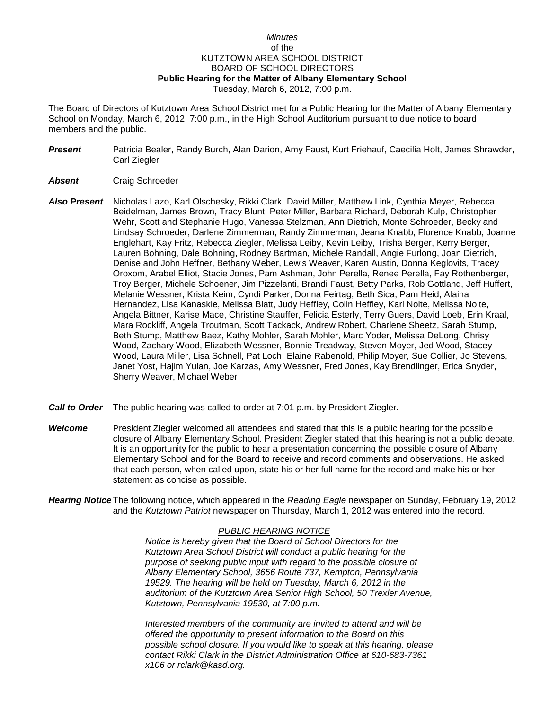## *Minutes* of the KUTZTOWN AREA SCHOOL DISTRICT BOARD OF SCHOOL DIRECTORS **Public Hearing for the Matter of Albany Elementary School** Tuesday, March 6, 2012, 7:00 p.m.

The Board of Directors of Kutztown Area School District met for a Public Hearing for the Matter of Albany Elementary School on Monday, March 6, 2012, 7:00 p.m., in the High School Auditorium pursuant to due notice to board members and the public.

*Present* Patricia Bealer, Randy Burch, Alan Darion, Amy Faust, Kurt Friehauf, Caecilia Holt, James Shrawder, Carl Ziegler

## *Absent* Craig Schroeder

- *Also Present* Nicholas Lazo, Karl Olschesky, Rikki Clark, David Miller, Matthew Link, Cynthia Meyer, Rebecca Beidelman, James Brown, Tracy Blunt, Peter Miller, Barbara Richard, Deborah Kulp, Christopher Wehr, Scott and Stephanie Hugo, Vanessa Stelzman, Ann Dietrich, Monte Schroeder, Becky and Lindsay Schroeder, Darlene Zimmerman, Randy Zimmerman, Jeana Knabb, Florence Knabb, Joanne Englehart, Kay Fritz, Rebecca Ziegler, Melissa Leiby, Kevin Leiby, Trisha Berger, Kerry Berger, Lauren Bohning, Dale Bohning, Rodney Bartman, Michele Randall, Angie Furlong, Joan Dietrich, Denise and John Heffner, Bethany Weber, Lewis Weaver, Karen Austin, Donna Keglovits, Tracey Oroxom, Arabel Elliot, Stacie Jones, Pam Ashman, John Perella, Renee Perella, Fay Rothenberger, Troy Berger, Michele Schoener, Jim Pizzelanti, Brandi Faust, Betty Parks, Rob Gottland, Jeff Huffert, Melanie Wessner, Krista Keim, Cyndi Parker, Donna Feirtag, Beth Sica, Pam Heid, Alaina Hernandez, Lisa Kanaskie, Melissa Blatt, Judy Heffley, Colin Heffley, Karl Nolte, Melissa Nolte, Angela Bittner, Karise Mace, Christine Stauffer, Felicia Esterly, Terry Guers, David Loeb, Erin Kraal, Mara Rockliff, Angela Troutman, Scott Tackack, Andrew Robert, Charlene Sheetz, Sarah Stump, Beth Stump, Matthew Baez, Kathy Mohler, Sarah Mohler, Marc Yoder, Melissa DeLong, Chrisy Wood, Zachary Wood, Elizabeth Wessner, Bonnie Treadway, Steven Moyer, Jed Wood, Stacey Wood, Laura Miller, Lisa Schnell, Pat Loch, Elaine Rabenold, Philip Moyer, Sue Collier, Jo Stevens, Janet Yost, Hajim Yulan, Joe Karzas, Amy Wessner, Fred Jones, Kay Brendlinger, Erica Snyder, Sherry Weaver, Michael Weber
- *Call to Order* The public hearing was called to order at 7:01 p.m. by President Ziegler.
- **Welcome** President Ziegler welcomed all attendees and stated that this is a public hearing for the possible closure of Albany Elementary School. President Ziegler stated that this hearing is not a public debate. It is an opportunity for the public to hear a presentation concerning the possible closure of Albany Elementary School and for the Board to receive and record comments and observations. He asked that each person, when called upon, state his or her full name for the record and make his or her statement as concise as possible.

*Hearing Notice* The following notice, which appeared in the *Reading Eagle* newspaper on Sunday, February 19, 2012 and the *Kutztown Patriot* newspaper on Thursday, March 1, 2012 was entered into the record.

## *PUBLIC HEARING NOTICE*

*Notice is hereby given that the Board of School Directors for the Kutztown Area School District will conduct a public hearing for the purpose of seeking public input with regard to the possible closure of Albany Elementary School, 3656 Route 737, Kempton, Pennsylvania 19529. The hearing will be held on Tuesday, March 6, 2012 in the auditorium of the Kutztown Area Senior High School, 50 Trexler Avenue, Kutztown, Pennsylvania 19530, at 7:00 p.m.*

*Interested members of the community are invited to attend and will be offered the opportunity to present information to the Board on this possible school closure. If you would like to speak at this hearing, please contact Rikki Clark in the District Administration Office at 610-683-7361 x106 or rclark@kasd.org.*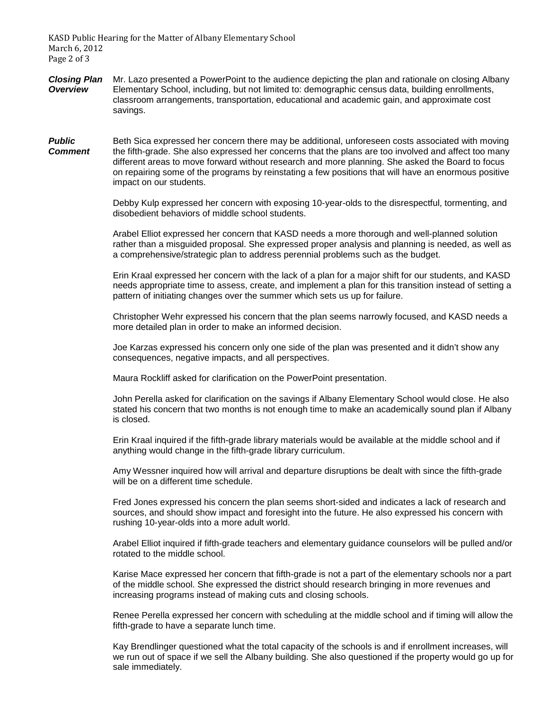KASD Public Hearing for the Matter of Albany Elementary School March 6, 2012 Page 2 of 3

- *Closing Plan* Mr. Lazo presented a PowerPoint to the audience depicting the plan and rationale on closing Albany *Overview* Elementary School, including, but not limited to: demographic census data, building enrollments, classroom arrangements, transportation, educational and academic gain, and approximate cost savings.
- **Public** Beth Sica expressed her concern there may be additional, unforeseen costs associated with moving *Comment* the fifth-grade. She also expressed her concerns that the plans are too involved and affect too many different areas to move forward without research and more planning. She asked the Board to focus on repairing some of the programs by reinstating a few positions that will have an enormous positive impact on our students.

Debby Kulp expressed her concern with exposing 10-year-olds to the disrespectful, tormenting, and disobedient behaviors of middle school students.

Arabel Elliot expressed her concern that KASD needs a more thorough and well-planned solution rather than a misguided proposal. She expressed proper analysis and planning is needed, as well as a comprehensive/strategic plan to address perennial problems such as the budget.

Erin Kraal expressed her concern with the lack of a plan for a major shift for our students, and KASD needs appropriate time to assess, create, and implement a plan for this transition instead of setting a pattern of initiating changes over the summer which sets us up for failure.

Christopher Wehr expressed his concern that the plan seems narrowly focused, and KASD needs a more detailed plan in order to make an informed decision.

Joe Karzas expressed his concern only one side of the plan was presented and it didn't show any consequences, negative impacts, and all perspectives.

Maura Rockliff asked for clarification on the PowerPoint presentation.

John Perella asked for clarification on the savings if Albany Elementary School would close. He also stated his concern that two months is not enough time to make an academically sound plan if Albany is closed.

Erin Kraal inquired if the fifth-grade library materials would be available at the middle school and if anything would change in the fifth-grade library curriculum.

Amy Wessner inquired how will arrival and departure disruptions be dealt with since the fifth-grade will be on a different time schedule.

Fred Jones expressed his concern the plan seems short-sided and indicates a lack of research and sources, and should show impact and foresight into the future. He also expressed his concern with rushing 10-year-olds into a more adult world.

Arabel Elliot inquired if fifth-grade teachers and elementary guidance counselors will be pulled and/or rotated to the middle school.

Karise Mace expressed her concern that fifth-grade is not a part of the elementary schools nor a part of the middle school. She expressed the district should research bringing in more revenues and increasing programs instead of making cuts and closing schools.

Renee Perella expressed her concern with scheduling at the middle school and if timing will allow the fifth-grade to have a separate lunch time.

Kay Brendlinger questioned what the total capacity of the schools is and if enrollment increases, will we run out of space if we sell the Albany building. She also questioned if the property would go up for sale immediately.